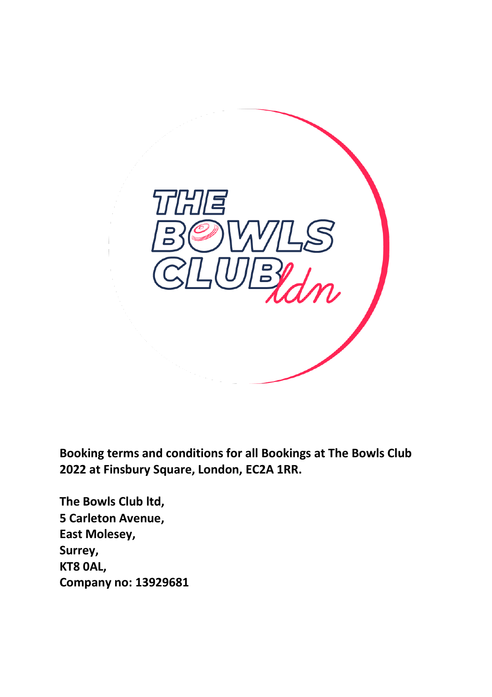

**Booking terms and conditions for all Bookings at The Bowls Club 2022 at Finsbury Square, London, EC2A 1RR.**

**The Bowls Club ltd, 5 Carleton Avenue, East Molesey, Surrey, KT8 0AL, Company no: 13929681**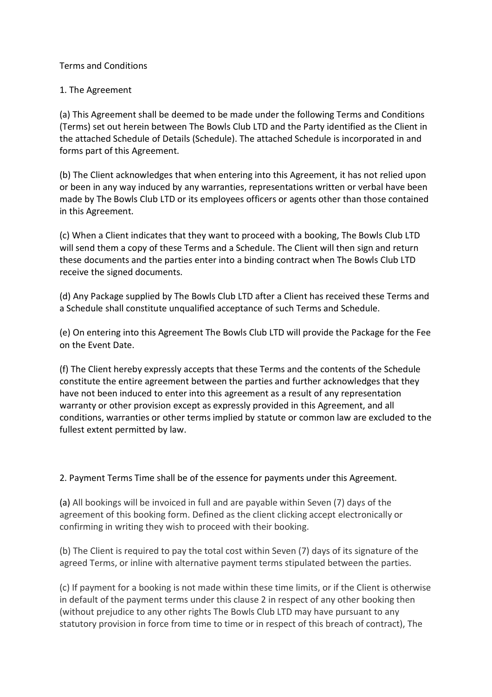## Terms and Conditions

## 1. The Agreement

(a) This Agreement shall be deemed to be made under the following Terms and Conditions (Terms) set out herein between The Bowls Club LTD and the Party identified as the Client in the attached Schedule of Details (Schedule). The attached Schedule is incorporated in and forms part of this Agreement.

(b) The Client acknowledges that when entering into this Agreement, it has not relied upon or been in any way induced by any warranties, representations written or verbal have been made by The Bowls Club LTD or its employees officers or agents other than those contained in this Agreement.

(c) When a Client indicates that they want to proceed with a booking, The Bowls Club LTD will send them a copy of these Terms and a Schedule. The Client will then sign and return these documents and the parties enter into a binding contract when The Bowls Club LTD receive the signed documents.

(d) Any Package supplied by The Bowls Club LTD after a Client has received these Terms and a Schedule shall constitute unqualified acceptance of such Terms and Schedule.

(e) On entering into this Agreement The Bowls Club LTD will provide the Package for the Fee on the Event Date.

(f) The Client hereby expressly accepts that these Terms and the contents of the Schedule constitute the entire agreement between the parties and further acknowledges that they have not been induced to enter into this agreement as a result of any representation warranty or other provision except as expressly provided in this Agreement, and all conditions, warranties or other terms implied by statute or common law are excluded to the fullest extent permitted by law.

# 2. Payment Terms Time shall be of the essence for payments under this Agreement.

(a) All bookings will be invoiced in full and are payable within Seven (7) days of the agreement of this booking form. Defined as the client clicking accept electronically or confirming in writing they wish to proceed with their booking.

(b) The Client is required to pay the total cost within Seven (7) days of its signature of the agreed Terms, or inline with alternative payment terms stipulated between the parties.

(c) If payment for a booking is not made within these time limits, or if the Client is otherwise in default of the payment terms under this clause 2 in respect of any other booking then (without prejudice to any other rights The Bowls Club LTD may have pursuant to any statutory provision in force from time to time or in respect of this breach of contract), The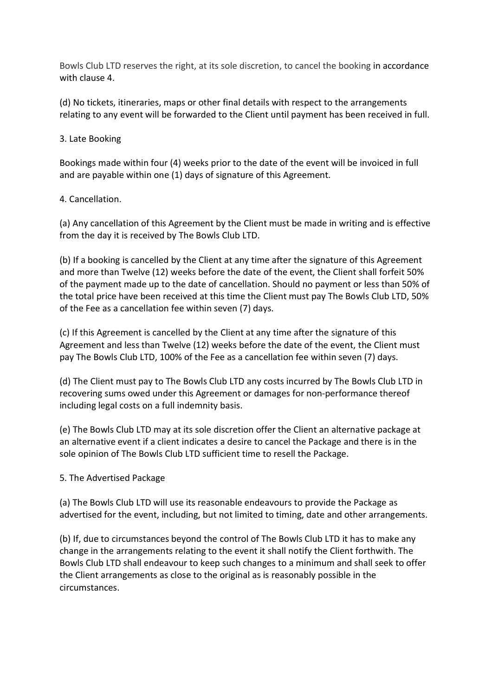Bowls Club LTD reserves the right, at its sole discretion, to cancel the booking in accordance with clause 4.

(d) No tickets, itineraries, maps or other final details with respect to the arrangements relating to any event will be forwarded to the Client until payment has been received in full.

# 3. Late Booking

Bookings made within four (4) weeks prior to the date of the event will be invoiced in full and are payable within one (1) days of signature of this Agreement.

## 4. Cancellation.

(a) Any cancellation of this Agreement by the Client must be made in writing and is effective from the day it is received by The Bowls Club LTD.

(b) If a booking is cancelled by the Client at any time after the signature of this Agreement and more than Twelve (12) weeks before the date of the event, the Client shall forfeit 50% of the payment made up to the date of cancellation. Should no payment or less than 50% of the total price have been received at this time the Client must pay The Bowls Club LTD, 50% of the Fee as a cancellation fee within seven (7) days.

(c) If this Agreement is cancelled by the Client at any time after the signature of this Agreement and less than Twelve (12) weeks before the date of the event, the Client must pay The Bowls Club LTD, 100% of the Fee as a cancellation fee within seven (7) days.

(d) The Client must pay to The Bowls Club LTD any costs incurred by The Bowls Club LTD in recovering sums owed under this Agreement or damages for non-performance thereof including legal costs on a full indemnity basis.

(e) The Bowls Club LTD may at its sole discretion offer the Client an alternative package at an alternative event if a client indicates a desire to cancel the Package and there is in the sole opinion of The Bowls Club LTD sufficient time to resell the Package.

#### 5. The Advertised Package

(a) The Bowls Club LTD will use its reasonable endeavours to provide the Package as advertised for the event, including, but not limited to timing, date and other arrangements.

(b) If, due to circumstances beyond the control of The Bowls Club LTD it has to make any change in the arrangements relating to the event it shall notify the Client forthwith. The Bowls Club LTD shall endeavour to keep such changes to a minimum and shall seek to offer the Client arrangements as close to the original as is reasonably possible in the circumstances.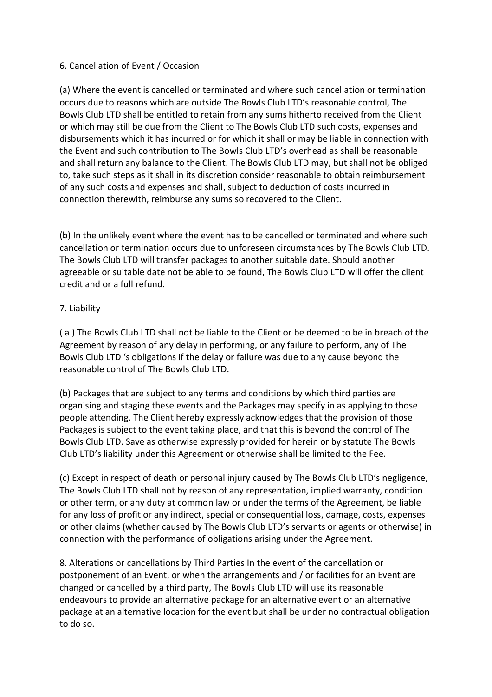## 6. Cancellation of Event / Occasion

(a) Where the event is cancelled or terminated and where such cancellation or termination occurs due to reasons which are outside The Bowls Club LTD's reasonable control, The Bowls Club LTD shall be entitled to retain from any sums hitherto received from the Client or which may still be due from the Client to The Bowls Club LTD such costs, expenses and disbursements which it has incurred or for which it shall or may be liable in connection with the Event and such contribution to The Bowls Club LTD's overhead as shall be reasonable and shall return any balance to the Client. The Bowls Club LTD may, but shall not be obliged to, take such steps as it shall in its discretion consider reasonable to obtain reimbursement of any such costs and expenses and shall, subject to deduction of costs incurred in connection therewith, reimburse any sums so recovered to the Client.

(b) In the unlikely event where the event has to be cancelled or terminated and where such cancellation or termination occurs due to unforeseen circumstances by The Bowls Club LTD. The Bowls Club LTD will transfer packages to another suitable date. Should another agreeable or suitable date not be able to be found, The Bowls Club LTD will offer the client credit and or a full refund.

## 7. Liability

( a ) The Bowls Club LTD shall not be liable to the Client or be deemed to be in breach of the Agreement by reason of any delay in performing, or any failure to perform, any of The Bowls Club LTD 's obligations if the delay or failure was due to any cause beyond the reasonable control of The Bowls Club LTD.

(b) Packages that are subject to any terms and conditions by which third parties are organising and staging these events and the Packages may specify in as applying to those people attending. The Client hereby expressly acknowledges that the provision of those Packages is subject to the event taking place, and that this is beyond the control of The Bowls Club LTD. Save as otherwise expressly provided for herein or by statute The Bowls Club LTD's liability under this Agreement or otherwise shall be limited to the Fee.

(c) Except in respect of death or personal injury caused by The Bowls Club LTD's negligence, The Bowls Club LTD shall not by reason of any representation, implied warranty, condition or other term, or any duty at common law or under the terms of the Agreement, be liable for any loss of profit or any indirect, special or consequential loss, damage, costs, expenses or other claims (whether caused by The Bowls Club LTD's servants or agents or otherwise) in connection with the performance of obligations arising under the Agreement.

8. Alterations or cancellations by Third Parties In the event of the cancellation or postponement of an Event, or when the arrangements and / or facilities for an Event are changed or cancelled by a third party, The Bowls Club LTD will use its reasonable endeavours to provide an alternative package for an alternative event or an alternative package at an alternative location for the event but shall be under no contractual obligation to do so.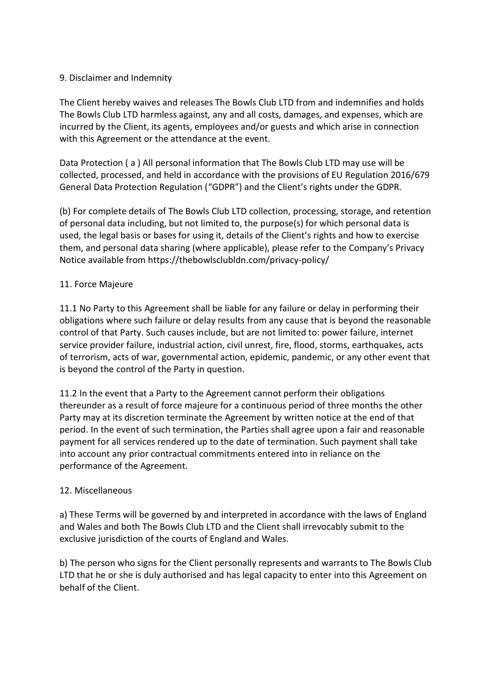## 9. Disclaimer and Indemnity

The Client hereby waives and releases The Bowls Club LTD from and indemnifies and holds The Bowls Club LTD harmless against, any and all costs, damages, and expenses, which are incurred by the Client, its agents, employees and/or guests and which arise in connection with this Agreement or the attendance at the event.

Data Protection ( a ) All personal information that The Bowls Club LTD may use will be collected, processed, and held in accordance with the provisions of EU Regulation 2016/679 General Data Protection Regulation ("GDPR") and the Client's rights under the GDPR.

(b) For complete details of The Bowls Club LTD collection, processing, storage, and retention of personal data including, but not limited to, the purpose(s) for which personal data is used, the legal basis or bases for using it, details of the Client's rights and how to exercise them, and personal data sharing (where applicable), please refer to the Company's Privacy Notice available from https://thebowlsclubldn.com/privacy-policy/

## 11. Force Majeure

11.1 No Party to this Agreement shall be liable for any failure or delay in performing their obligations where such failure or delay results from any cause that is beyond the reasonable control of that Party. Such causes include, but are not limited to: power failure, internet service provider failure, industrial action, civil unrest, fire, flood, storms, earthquakes, acts of terrorism, acts of war, governmental action, epidemic, pandemic, or any other event that is beyond the control of the Party in question.

11.2 In the event that a Party to the Agreement cannot perform their obligations thereunder as a result of force majeure for a continuous period of three months the other Party may at its discretion terminate the Agreement by written notice at the end of that period. In the event of such termination, the Parties shall agree upon a fair and reasonable payment for all services rendered up to the date of termination. Such payment shall take into account any prior contractual commitments entered into in reliance on the performance of the Agreement.

#### 12. Miscellaneous

a) These Terms will be governed by and interpreted in accordance with the laws of England and Wales and both The Bowls Club LTD and the Client shall irrevocably submit to the exclusive jurisdiction of the courts of England and Wales.

b) The person who signs for the Client personally represents and warrants to The Bowls Club LTD that he or she is duly authorised and has legal capacity to enter into this Agreement on behalf of the Client.